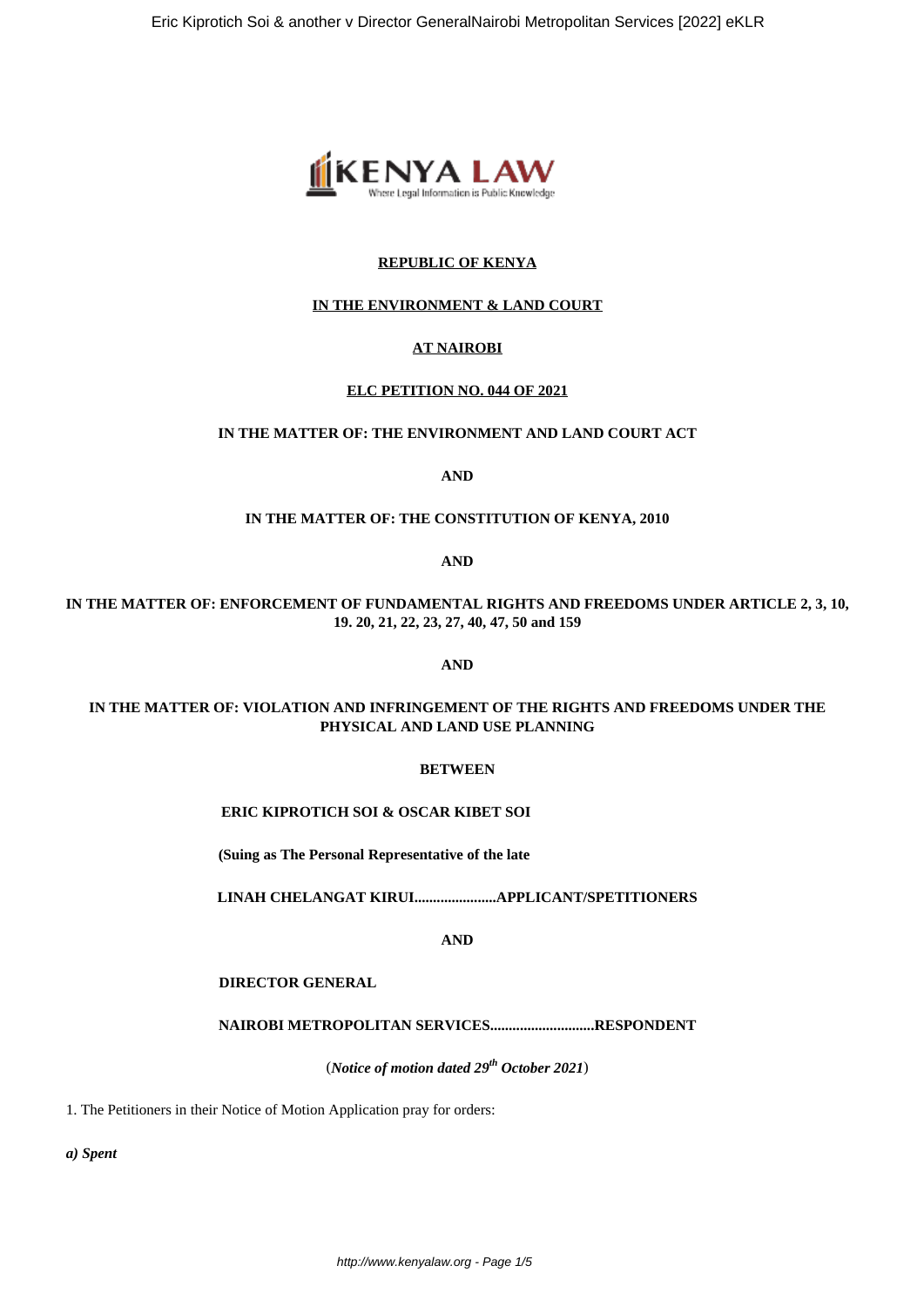

### **REPUBLIC OF KENYA**

#### **IN THE ENVIRONMENT & LAND COURT**

#### **AT NAIROBI**

#### **ELC PETITION NO. 044 OF 2021**

# **IN THE MATTER OF: THE ENVIRONMENT AND LAND COURT ACT**

**AND**

#### **IN THE MATTER OF: THE CONSTITUTION OF KENYA, 2010**

**AND**

### **IN THE MATTER OF: ENFORCEMENT OF FUNDAMENTAL RIGHTS AND FREEDOMS UNDER ARTICLE 2, 3, 10, 19. 20, 21, 22, 23, 27, 40, 47, 50 and 159**

**AND**

### **IN THE MATTER OF: VIOLATION AND INFRINGEMENT OF THE RIGHTS AND FREEDOMS UNDER THE PHYSICAL AND LAND USE PLANNING**

#### **BETWEEN**

### **ERIC KIPROTICH SOI & OSCAR KIBET SOI**

**(Suing as The Personal Representative of the late**

**LINAH CHELANGAT KIRUI......................APPLICANT/SPETITIONERS**

**AND**

### **DIRECTOR GENERAL**

**NAIROBI METROPOLITAN SERVICES............................RESPONDENT**

(*Notice of motion dated 29th October 2021*)

1. The Petitioners in their Notice of Motion Application pray for orders:

*a) Spent*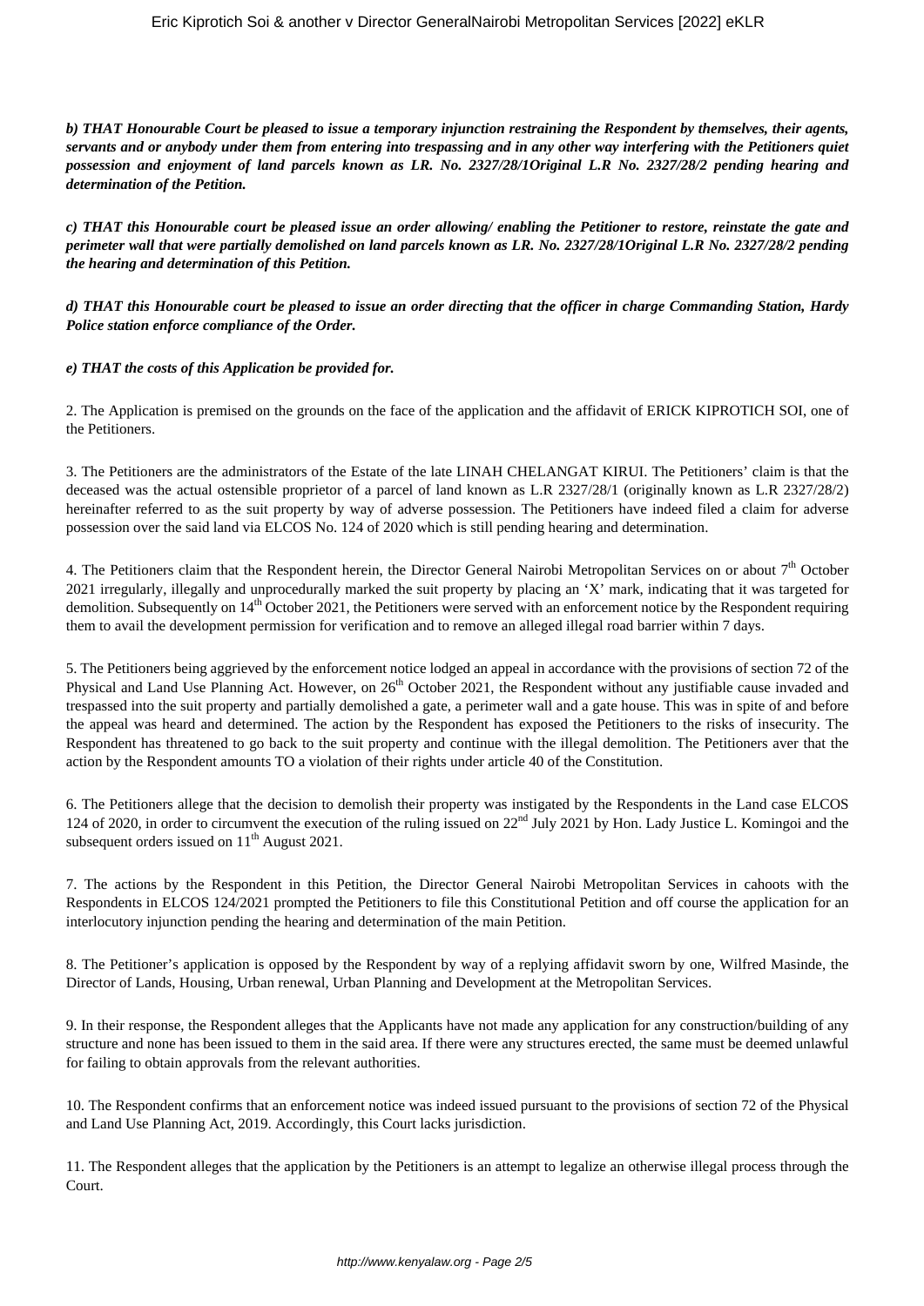*b) THAT Honourable Court be pleased to issue a temporary injunction restraining the Respondent by themselves, their agents, servants and or anybody under them from entering into trespassing and in any other way interfering with the Petitioners quiet possession and enjoyment of land parcels known as LR. No. 2327/28/1Original L.R No. 2327/28/2 pending hearing and determination of the Petition.*

*c) THAT this Honourable court be pleased issue an order allowing/ enabling the Petitioner to restore, reinstate the gate and perimeter wall that were partially demolished on land parcels known as LR. No. 2327/28/1Original L.R No. 2327/28/2 pending the hearing and determination of this Petition.*

*d) THAT this Honourable court be pleased to issue an order directing that the officer in charge Commanding Station, Hardy Police station enforce compliance of the Order.*

#### *e) THAT the costs of this Application be provided for.*

2. The Application is premised on the grounds on the face of the application and the affidavit of ERICK KIPROTICH SOI, one of the Petitioners.

3. The Petitioners are the administrators of the Estate of the late LINAH CHELANGAT KIRUI. The Petitioners' claim is that the deceased was the actual ostensible proprietor of a parcel of land known as L.R 2327/28/1 (originally known as L.R 2327/28/2) hereinafter referred to as the suit property by way of adverse possession. The Petitioners have indeed filed a claim for adverse possession over the said land via ELCOS No. 124 of 2020 which is still pending hearing and determination.

4. The Petitioners claim that the Respondent herein, the Director General Nairobi Metropolitan Services on or about 7<sup>th</sup> October 2021 irregularly, illegally and unprocedurally marked the suit property by placing an 'X' mark, indicating that it was targeted for demolition. Subsequently on 14<sup>th</sup> October 2021, the Petitioners were served with an enforcement notice by the Respondent requiring them to avail the development permission for verification and to remove an alleged illegal road barrier within 7 days.

5. The Petitioners being aggrieved by the enforcement notice lodged an appeal in accordance with the provisions of section 72 of the Physical and Land Use Planning Act. However, on 26<sup>th</sup> October 2021, the Respondent without any justifiable cause invaded and trespassed into the suit property and partially demolished a gate, a perimeter wall and a gate house. This was in spite of and before the appeal was heard and determined. The action by the Respondent has exposed the Petitioners to the risks of insecurity. The Respondent has threatened to go back to the suit property and continue with the illegal demolition. The Petitioners aver that the action by the Respondent amounts TO a violation of their rights under article 40 of the Constitution.

6. The Petitioners allege that the decision to demolish their property was instigated by the Respondents in the Land case ELCOS 124 of 2020, in order to circumvent the execution of the ruling issued on 22<sup>nd</sup> July 2021 by Hon. Lady Justice L. Komingoi and the subsequent orders issued on  $11<sup>th</sup>$  August 2021.

7. The actions by the Respondent in this Petition, the Director General Nairobi Metropolitan Services in cahoots with the Respondents in ELCOS 124/2021 prompted the Petitioners to file this Constitutional Petition and off course the application for an interlocutory injunction pending the hearing and determination of the main Petition.

8. The Petitioner's application is opposed by the Respondent by way of a replying affidavit sworn by one, Wilfred Masinde, the Director of Lands, Housing, Urban renewal, Urban Planning and Development at the Metropolitan Services.

9. In their response, the Respondent alleges that the Applicants have not made any application for any construction/building of any structure and none has been issued to them in the said area. If there were any structures erected, the same must be deemed unlawful for failing to obtain approvals from the relevant authorities.

10. The Respondent confirms that an enforcement notice was indeed issued pursuant to the provisions of section 72 of the Physical and Land Use Planning Act, 2019. Accordingly, this Court lacks jurisdiction.

11. The Respondent alleges that the application by the Petitioners is an attempt to legalize an otherwise illegal process through the Court.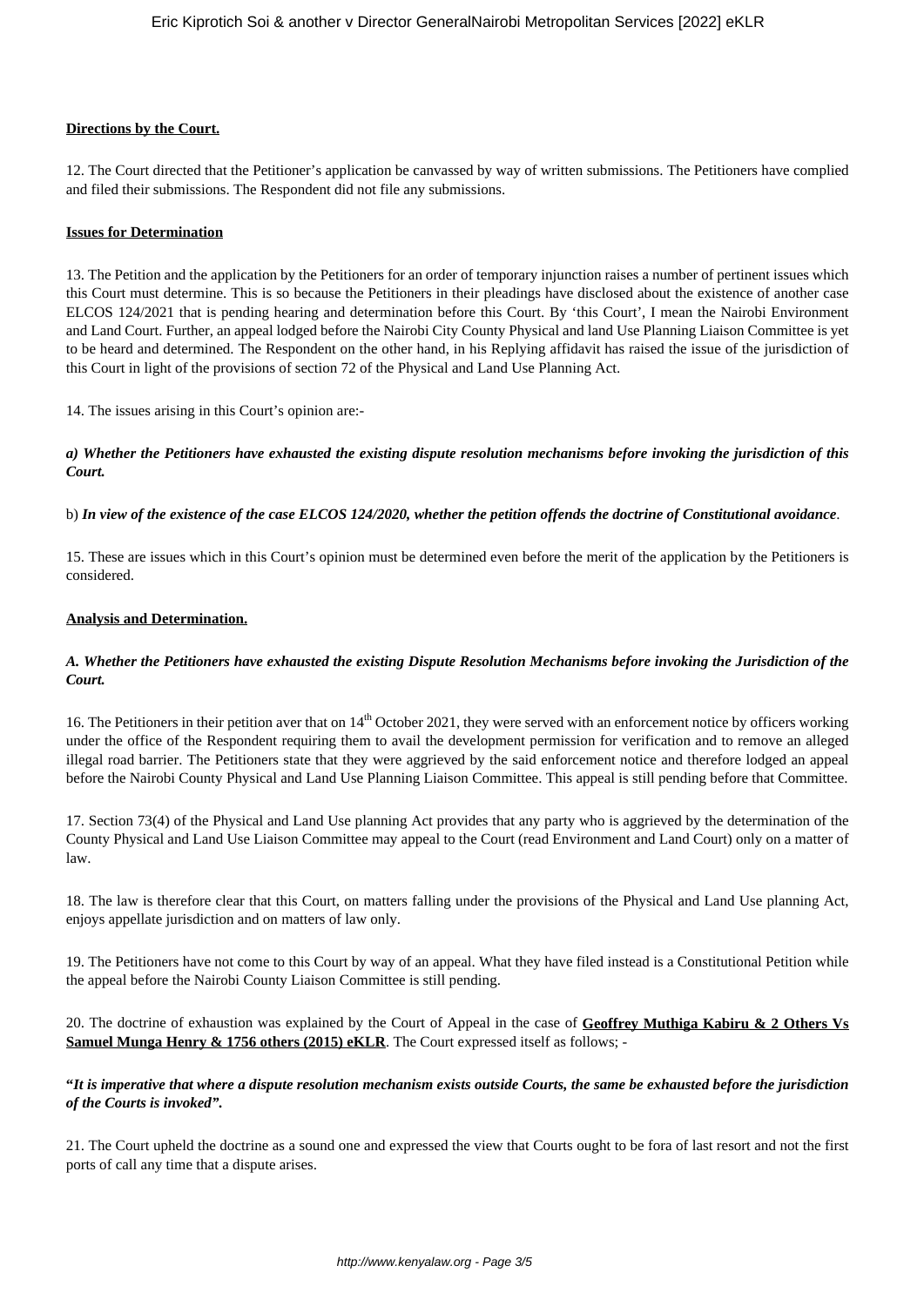#### **Directions by the Court.**

12. The Court directed that the Petitioner's application be canvassed by way of written submissions. The Petitioners have complied and filed their submissions. The Respondent did not file any submissions.

#### **Issues for Determination**

13. The Petition and the application by the Petitioners for an order of temporary injunction raises a number of pertinent issues which this Court must determine. This is so because the Petitioners in their pleadings have disclosed about the existence of another case ELCOS 124/2021 that is pending hearing and determination before this Court. By 'this Court', I mean the Nairobi Environment and Land Court. Further, an appeal lodged before the Nairobi City County Physical and land Use Planning Liaison Committee is yet to be heard and determined. The Respondent on the other hand, in his Replying affidavit has raised the issue of the jurisdiction of this Court in light of the provisions of section 72 of the Physical and Land Use Planning Act.

14. The issues arising in this Court's opinion are:-

## *a) Whether the Petitioners have exhausted the existing dispute resolution mechanisms before invoking the jurisdiction of this Court.*

b) *In view of the existence of the case ELCOS 124/2020, whether the petition offends the doctrine of Constitutional avoidance*.

15. These are issues which in this Court's opinion must be determined even before the merit of the application by the Petitioners is considered.

## **Analysis and Determination.**

## *A. Whether the Petitioners have exhausted the existing Dispute Resolution Mechanisms before invoking the Jurisdiction of the Court.*

16. The Petitioners in their petition aver that on  $14<sup>th</sup>$  October 2021, they were served with an enforcement notice by officers working under the office of the Respondent requiring them to avail the development permission for verification and to remove an alleged illegal road barrier. The Petitioners state that they were aggrieved by the said enforcement notice and therefore lodged an appeal before the Nairobi County Physical and Land Use Planning Liaison Committee. This appeal is still pending before that Committee.

17. Section 73(4) of the Physical and Land Use planning Act provides that any party who is aggrieved by the determination of the County Physical and Land Use Liaison Committee may appeal to the Court (read Environment and Land Court) only on a matter of law.

18. The law is therefore clear that this Court, on matters falling under the provisions of the Physical and Land Use planning Act, enjoys appellate jurisdiction and on matters of law only.

19. The Petitioners have not come to this Court by way of an appeal. What they have filed instead is a Constitutional Petition while the appeal before the Nairobi County Liaison Committee is still pending.

20. The doctrine of exhaustion was explained by the Court of Appeal in the case of **Geoffrey Muthiga Kabiru & 2 Others Vs Samuel Munga Henry & 1756 others (2015) eKLR**. The Court expressed itself as follows; -

## **"***It is imperative that where a dispute resolution mechanism exists outside Courts, the same be exhausted before the jurisdiction of the Courts is invoked".*

21. The Court upheld the doctrine as a sound one and expressed the view that Courts ought to be fora of last resort and not the first ports of call any time that a dispute arises.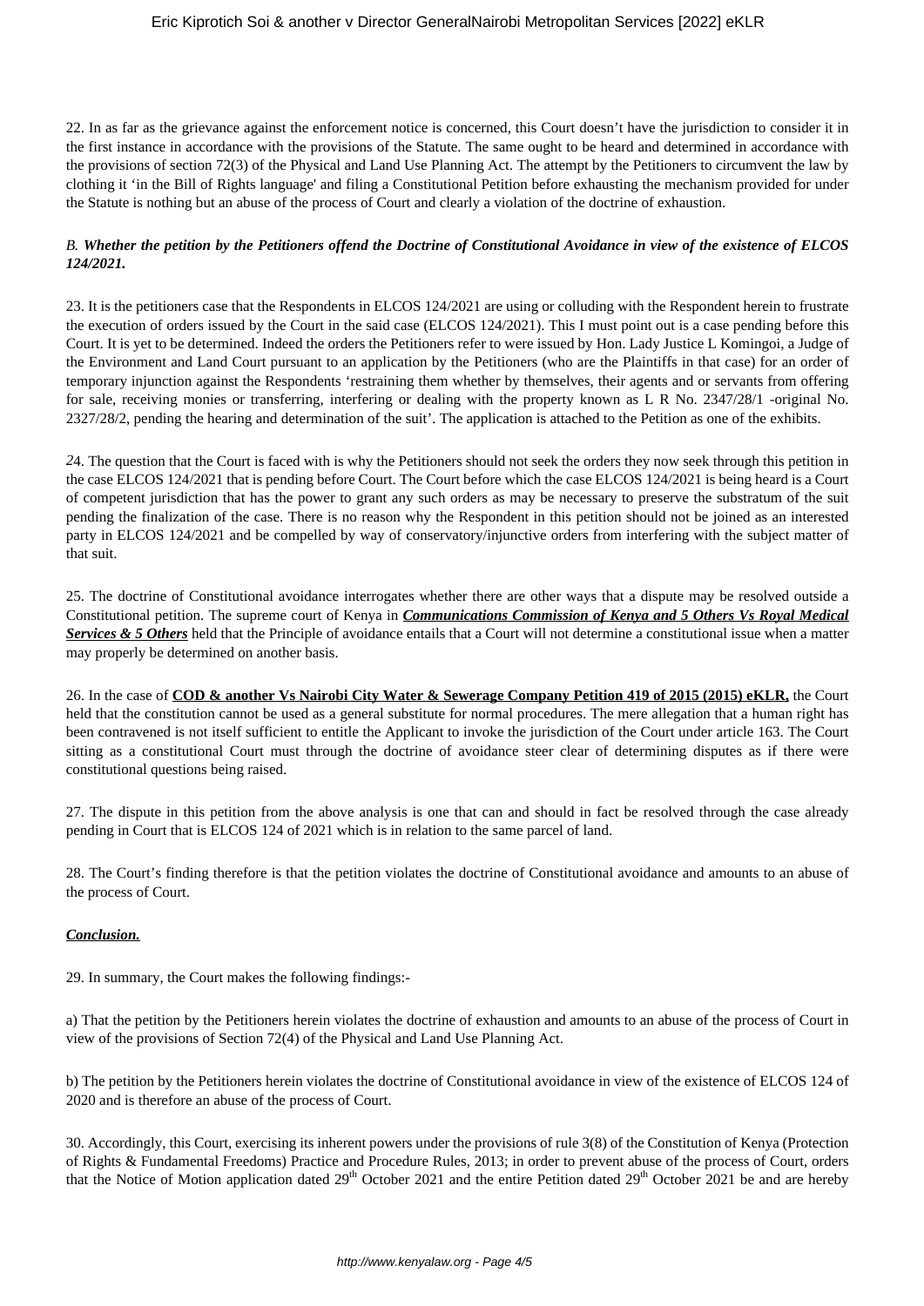22. In as far as the grievance against the enforcement notice is concerned, this Court doesn't have the jurisdiction to consider it in the first instance in accordance with the provisions of the Statute. The same ought to be heard and determined in accordance with the provisions of section 72(3) of the Physical and Land Use Planning Act. The attempt by the Petitioners to circumvent the law by clothing it 'in the Bill of Rights language' and filing a Constitutional Petition before exhausting the mechanism provided for under the Statute is nothing but an abuse of the process of Court and clearly a violation of the doctrine of exhaustion.

## *B. Whether the petition by the Petitioners offend the Doctrine of Constitutional Avoidance in view of the existence of ELCOS 124/2021.*

23. It is the petitioners case that the Respondents in ELCOS 124/2021 are using or colluding with the Respondent herein to frustrate the execution of orders issued by the Court in the said case (ELCOS 124/2021). This I must point out is a case pending before this Court. It is yet to be determined. Indeed the orders the Petitioners refer to were issued by Hon. Lady Justice L Komingoi, a Judge of the Environment and Land Court pursuant to an application by the Petitioners (who are the Plaintiffs in that case) for an order of temporary injunction against the Respondents 'restraining them whether by themselves, their agents and or servants from offering for sale, receiving monies or transferring, interfering or dealing with the property known as L R No. 2347/28/1 -original No. 2327/28/2, pending the hearing and determination of the suit'. The application is attached to the Petition as one of the exhibits.

*2*4. The question that the Court is faced with is why the Petitioners should not seek the orders they now seek through this petition in the case ELCOS 124/2021 that is pending before Court. The Court before which the case ELCOS 124/2021 is being heard is a Court of competent jurisdiction that has the power to grant any such orders as may be necessary to preserve the substratum of the suit pending the finalization of the case. There is no reason why the Respondent in this petition should not be joined as an interested party in ELCOS 124/2021 and be compelled by way of conservatory/injunctive orders from interfering with the subject matter of that suit.

25. The doctrine of Constitutional avoidance interrogates whether there are other ways that a dispute may be resolved outside a Constitutional petition. The supreme court of Kenya in *Communications Commission of Kenya and 5 Others Vs Royal Medical Services & 5 Others* held that the Principle of avoidance entails that a Court will not determine a constitutional issue when a matter may properly be determined on another basis.

26. In the case of **COD & another Vs Nairobi City Water & Sewerage Company Petition 419 of 2015 (2015) eKLR,** the Court held that the constitution cannot be used as a general substitute for normal procedures. The mere allegation that a human right has been contravened is not itself sufficient to entitle the Applicant to invoke the jurisdiction of the Court under article 163. The Court sitting as a constitutional Court must through the doctrine of avoidance steer clear of determining disputes as if there were constitutional questions being raised.

27. The dispute in this petition from the above analysis is one that can and should in fact be resolved through the case already pending in Court that is ELCOS 124 of 2021 which is in relation to the same parcel of land.

28. The Court's finding therefore is that the petition violates the doctrine of Constitutional avoidance and amounts to an abuse of the process of Court.

# *Conclusion.*

29. In summary, the Court makes the following findings:-

a) That the petition by the Petitioners herein violates the doctrine of exhaustion and amounts to an abuse of the process of Court in view of the provisions of Section 72(4) of the Physical and Land Use Planning Act.

b) The petition by the Petitioners herein violates the doctrine of Constitutional avoidance in view of the existence of ELCOS 124 of 2020 and is therefore an abuse of the process of Court.

30. Accordingly, this Court, exercising its inherent powers under the provisions of rule 3(8) of the Constitution of Kenya (Protection of Rights & Fundamental Freedoms) Practice and Procedure Rules, 2013; in order to prevent abuse of the process of Court, orders that the Notice of Motion application dated  $29<sup>th</sup>$  October 2021 and the entire Petition dated  $29<sup>th</sup>$  October 2021 be and are hereby